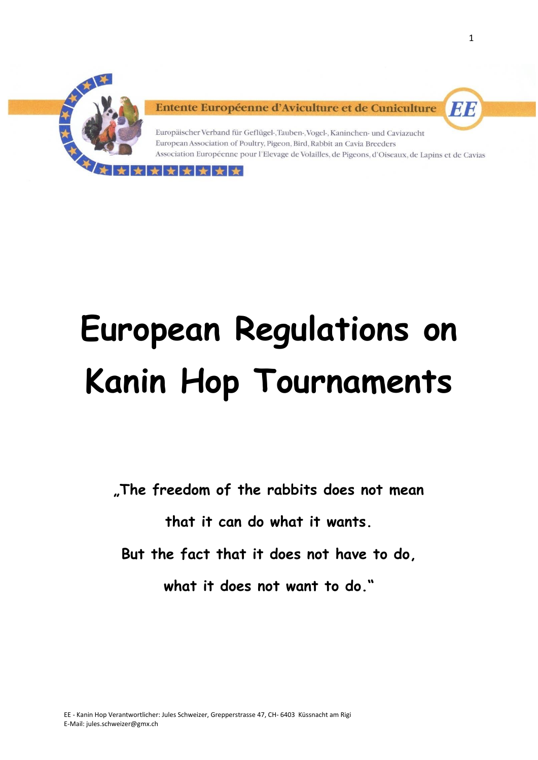

Entente Européenne d'Aviculture et de Cuniculture

 $\leftarrow$  $\rightarrow$ 

Europäischer Verband für Geflügel-, Tauben-, Vogel-, Kaninchen- und Caviazucht European Association of Poultry, Pigeon, Bird, Rabbit an Cavia Breeders Association Européenne pour l'Elevage de Volailles, de Pigeons, d'Oiseaux, de Lapins et de Cavias

# **European Regulations on Kanin Hop Tournaments**

**"The freedom of the rabbits does not mean**

**that it can do what it wants.**

**But the fact that it does not have to do,**

**what it does not want to do."**

EE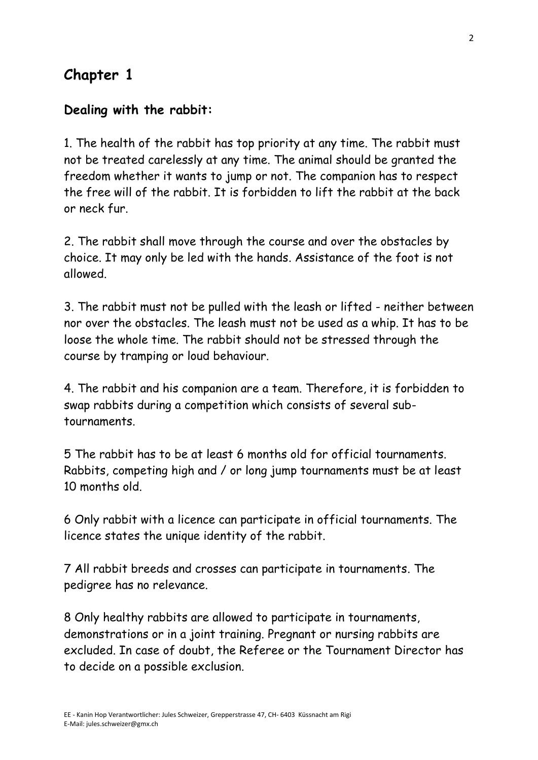## **Chapter 1**

## **Dealing with the rabbit:**

1. The health of the rabbit has top priority at any time. The rabbit must not be treated carelessly at any time. The animal should be granted the freedom whether it wants to jump or not. The companion has to respect the free will of the rabbit. It is forbidden to lift the rabbit at the back or neck fur.

2. The rabbit shall move through the course and over the obstacles by choice. It may only be led with the hands. Assistance of the foot is not allowed.

3. The rabbit must not be pulled with the leash or lifted - neither between nor over the obstacles. The leash must not be used as a whip. It has to be loose the whole time. The rabbit should not be stressed through the course by tramping or loud behaviour.

4. The rabbit and his companion are a team. Therefore, it is forbidden to swap rabbits during a competition which consists of several subtournaments.

5 The rabbit has to be at least 6 months old for official tournaments. Rabbits, competing high and / or long jump tournaments must be at least 10 months old.

6 Only rabbit with a licence can participate in official tournaments. The licence states the unique identity of the rabbit.

7 All rabbit breeds and crosses can participate in tournaments. The pedigree has no relevance.

8 Only healthy rabbits are allowed to participate in tournaments, demonstrations or in a joint training. Pregnant or nursing rabbits are excluded. In case of doubt, the Referee or the Tournament Director has to decide on a possible exclusion.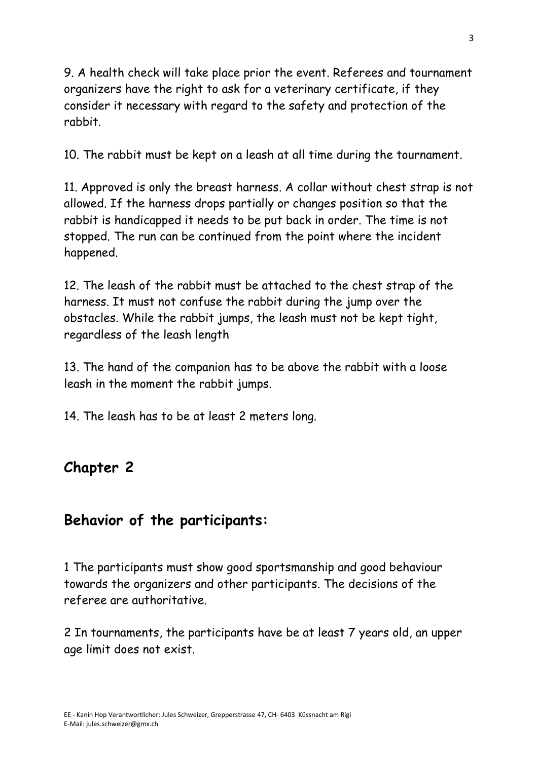9. A health check will take place prior the event. Referees and tournament organizers have the right to ask for a veterinary certificate, if they consider it necessary with regard to the safety and protection of the rabbit.

10. The rabbit must be kept on a leash at all time during the tournament.

11. Approved is only the breast harness. A collar without chest strap is not allowed. If the harness drops partially or changes position so that the rabbit is handicapped it needs to be put back in order. The time is not stopped. The run can be continued from the point where the incident happened.

12. The leash of the rabbit must be attached to the chest strap of the harness. It must not confuse the rabbit during the jump over the obstacles. While the rabbit jumps, the leash must not be kept tight, regardless of the leash length

13. The hand of the companion has to be above the rabbit with a loose leash in the moment the rabbit jumps.

14. The leash has to be at least 2 meters long.

# **Chapter 2**

## **Behavior of the participants:**

1 The participants must show good sportsmanship and good behaviour towards the organizers and other participants. The decisions of the referee are authoritative.

2 In tournaments, the participants have be at least 7 years old, an upper age limit does not exist.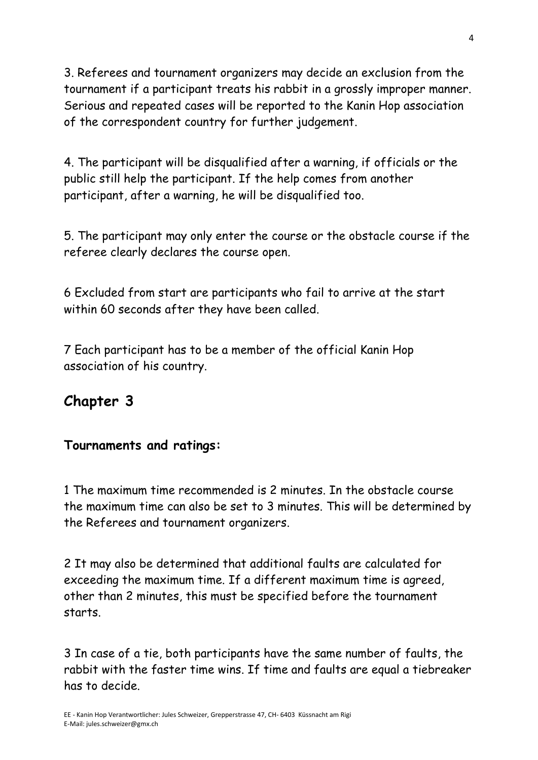3. Referees and tournament organizers may decide an exclusion from the tournament if a participant treats his rabbit in a grossly improper manner. Serious and repeated cases will be reported to the Kanin Hop association of the correspondent country for further judgement.

4. The participant will be disqualified after a warning, if officials or the public still help the participant. If the help comes from another participant, after a warning, he will be disqualified too.

5. The participant may only enter the course or the obstacle course if the referee clearly declares the course open.

6 Excluded from start are participants who fail to arrive at the start within 60 seconds after they have been called.

7 Each participant has to be a member of the official Kanin Hop association of his country.

## **Chapter 3**

#### **Tournaments and ratings:**

1 The maximum time recommended is 2 minutes. In the obstacle course the maximum time can also be set to 3 minutes. This will be determined by the Referees and tournament organizers.

2 It may also be determined that additional faults are calculated for exceeding the maximum time. If a different maximum time is agreed, other than 2 minutes, this must be specified before the tournament starts.

3 In case of a tie, both participants have the same number of faults, the rabbit with the faster time wins. If time and faults are equal a tiebreaker has to decide.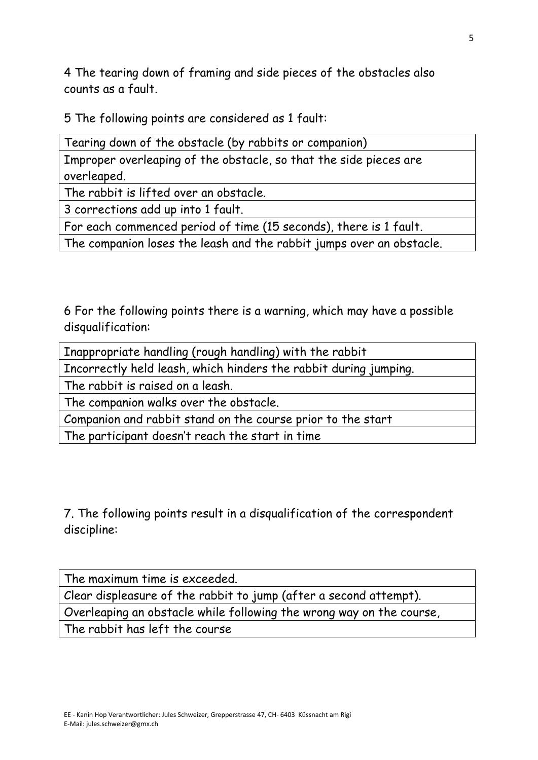4 The tearing down of framing and side pieces of the obstacles also counts as a fault.

5 The following points are considered as 1 fault:

| Tearing down of the obstacle (by rabbits or companion)            |
|-------------------------------------------------------------------|
| Improper overleaping of the obstacle, so that the side pieces are |
| overleaped.                                                       |
| The rabbit is lifted over an obstacle.                            |

3 corrections add up into 1 fault.

For each commenced period of time (15 seconds), there is 1 fault.

The companion loses the leash and the rabbit jumps over an obstacle.

6 For the following points there is a warning, which may have a possible disqualification:

Inappropriate handling (rough handling) with the rabbit

Incorrectly held leash, which hinders the rabbit during jumping.

The rabbit is raised on a leash.

The companion walks over the obstacle.

Companion and rabbit stand on the course prior to the start

The participant doesn't reach the start in time

7. The following points result in a disqualification of the correspondent discipline:

The maximum time is exceeded.

Clear displeasure of the rabbit to jump (after a second attempt).

Overleaping an obstacle while following the wrong way on the course,

The rabbit has left the course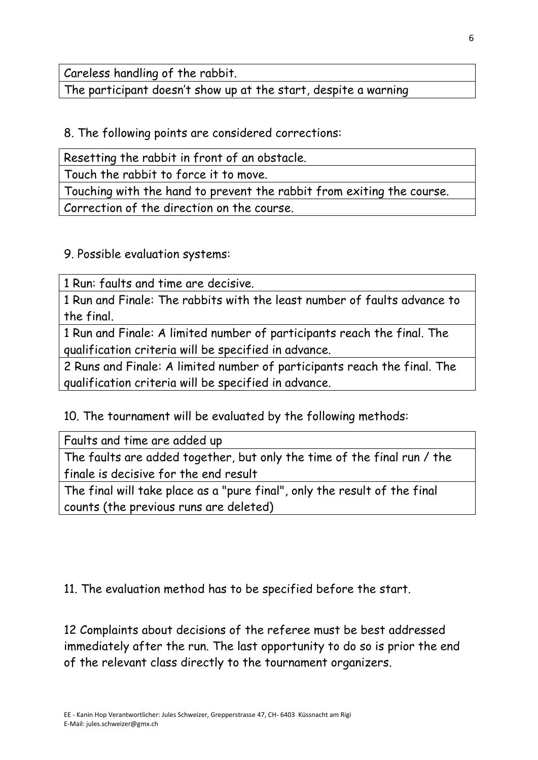Careless handling of the rabbit.

The participant doesn't show up at the start, despite a warning

8. The following points are considered corrections:

Resetting the rabbit in front of an obstacle.

Touch the rabbit to force it to move.

Touching with the hand to prevent the rabbit from exiting the course. Correction of the direction on the course.

9. Possible evaluation systems:

1 Run: faults and time are decisive.

1 Run and Finale: The rabbits with the least number of faults advance to the final.

1 Run and Finale: A limited number of participants reach the final. The qualification criteria will be specified in advance.

2 Runs and Finale: A limited number of participants reach the final. The qualification criteria will be specified in advance.

10. The tournament will be evaluated by the following methods:

Faults and time are added up

The faults are added together, but only the time of the final run / the finale is decisive for the end result

The final will take place as a "pure final", only the result of the final counts (the previous runs are deleted)

11. The evaluation method has to be specified before the start.

12 Complaints about decisions of the referee must be best addressed immediately after the run. The last opportunity to do so is prior the end of the relevant class directly to the tournament organizers.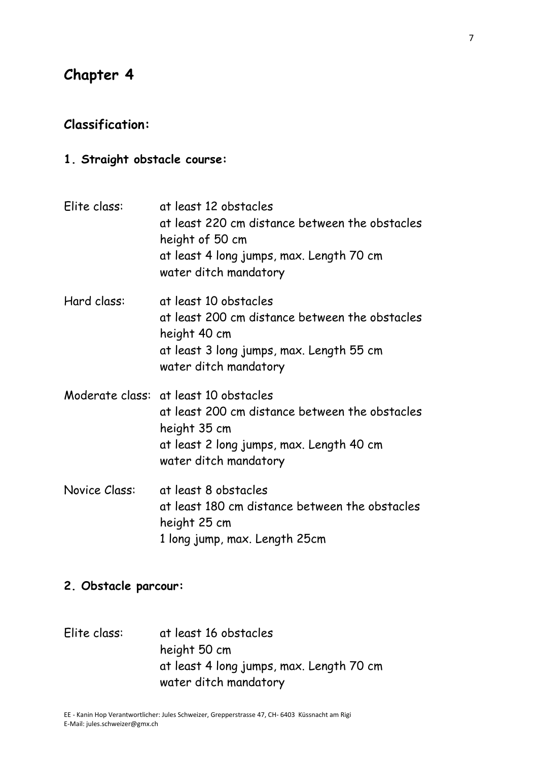## **Chapter 4**

#### **Classification:**

**1. Straight obstacle course:**

| Elite class:         | at least 12 obstacles<br>at least 220 cm distance between the obstacles<br>height of 50 cm<br>at least 4 long jumps, max. Length 70 cm<br>water ditch mandatory              |
|----------------------|------------------------------------------------------------------------------------------------------------------------------------------------------------------------------|
| Hard class:          | at least 10 obstacles<br>at least 200 cm distance between the obstacles<br>height 40 cm<br>at least 3 long jumps, max. Length 55 cm<br>water ditch mandatory                 |
|                      | Moderate class: at least 10 obstacles<br>at least 200 cm distance between the obstacles<br>height 35 cm<br>at least 2 long jumps, max. Length 40 cm<br>water ditch mandatory |
| <b>Novice Class:</b> | at least 8 obstacles<br>at least 180 cm distance between the obstacles<br>height 25 cm<br>1 long jump, max. Length 25cm                                                      |

#### **2. Obstacle parcour:**

Elite class: at least 16 obstacles height 50 cm at least 4 long jumps, max. Length 70 cm water ditch mandatory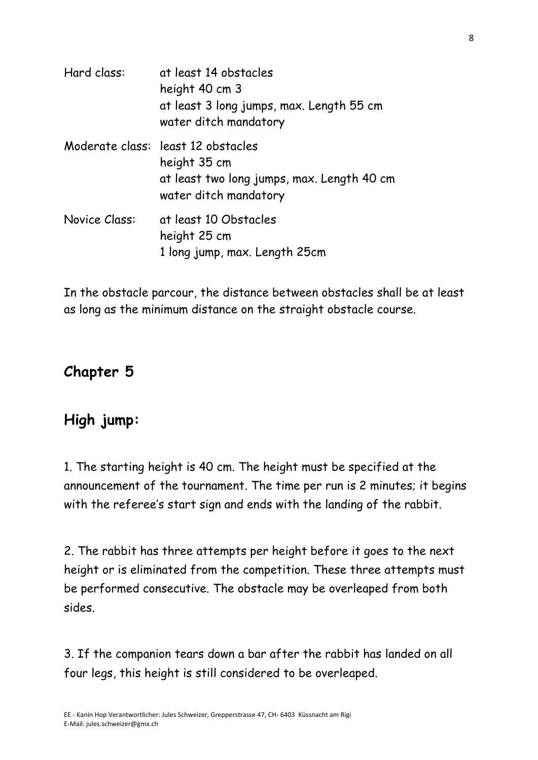| Hard class:   | at least 14 obstacles<br>height 40 cm 3<br>at least 3 long jumps, max. Length 55 cm<br>water ditch mandatory              |
|---------------|---------------------------------------------------------------------------------------------------------------------------|
|               | Moderate class: least 12 obstacles<br>height 35 cm<br>at least two long jumps, max. Length 40 cm<br>water ditch mandatory |
| Novice Class: | at least 10 Obstacles<br>height 25 cm<br>1 long jump, max. Length 25cm                                                    |

In the obstacle parcour, the distance between obstacles shall be at least as long as the minimum distance on the straight obstacle course.

# **Chapter 5**

# **High jump:**

1. The starting height is 40 cm. The height must be specified at the announcement of the tournament. The time per run is 2 minutes; it begins with the referee's start sign and ends with the landing of the rabbit.

2. The rabbit has three attempts per height before it goes to the next height or is eliminated from the competition. These three attempts must be performed consecutive. The obstacle may be overleaped from both sides.

3. If the companion tears down a bar after the rabbit has landed on all four legs, this height is still considered to be overleaped.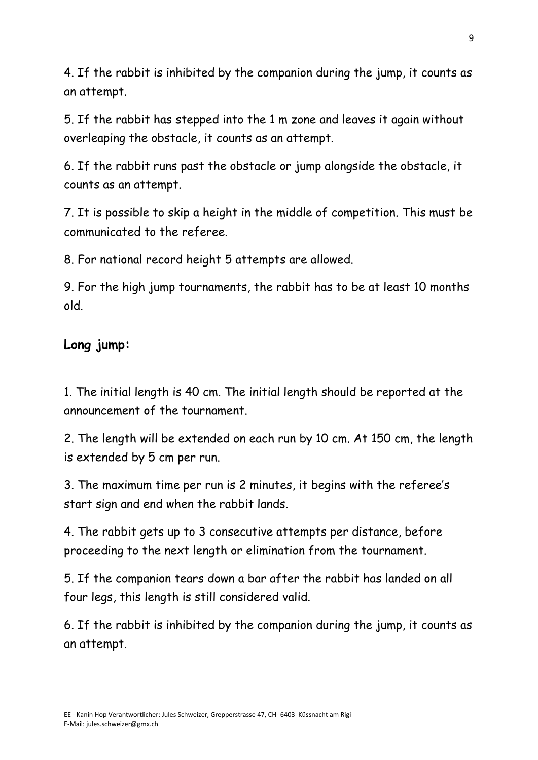4. If the rabbit is inhibited by the companion during the jump, it counts as an attempt.

5. If the rabbit has stepped into the 1 m zone and leaves it again without overleaping the obstacle, it counts as an attempt.

6. If the rabbit runs past the obstacle or jump alongside the obstacle, it counts as an attempt.

7. It is possible to skip a height in the middle of competition. This must be communicated to the referee.

8. For national record height 5 attempts are allowed.

9. For the high jump tournaments, the rabbit has to be at least 10 months old.

#### **Long jump:**

1. The initial length is 40 cm. The initial length should be reported at the announcement of the tournament.

2. The length will be extended on each run by 10 cm. At 150 cm, the length is extended by 5 cm per run.

3. The maximum time per run is 2 minutes, it begins with the referee's start sign and end when the rabbit lands.

4. The rabbit gets up to 3 consecutive attempts per distance, before proceeding to the next length or elimination from the tournament.

5. If the companion tears down a bar after the rabbit has landed on all four legs, this length is still considered valid.

6. If the rabbit is inhibited by the companion during the jump, it counts as an attempt.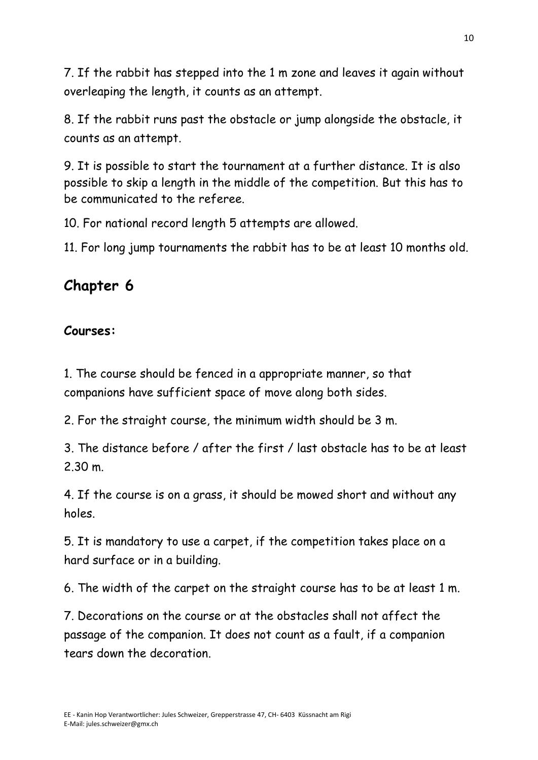7. If the rabbit has stepped into the 1 m zone and leaves it again without overleaping the length, it counts as an attempt.

8. If the rabbit runs past the obstacle or jump alongside the obstacle, it counts as an attempt.

9. It is possible to start the tournament at a further distance. It is also possible to skip a length in the middle of the competition. But this has to be communicated to the referee.

10. For national record length 5 attempts are allowed.

11. For long jump tournaments the rabbit has to be at least 10 months old.

# **Chapter 6**

### **Courses:**

1. The course should be fenced in a appropriate manner, so that companions have sufficient space of move along both sides.

2. For the straight course, the minimum width should be 3 m.

3. The distance before / after the first / last obstacle has to be at least 2.30 m.

4. If the course is on a grass, it should be mowed short and without any holes.

5. It is mandatory to use a carpet, if the competition takes place on a hard surface or in a building.

6. The width of the carpet on the straight course has to be at least 1 m.

7. Decorations on the course or at the obstacles shall not affect the passage of the companion. It does not count as a fault, if a companion tears down the decoration.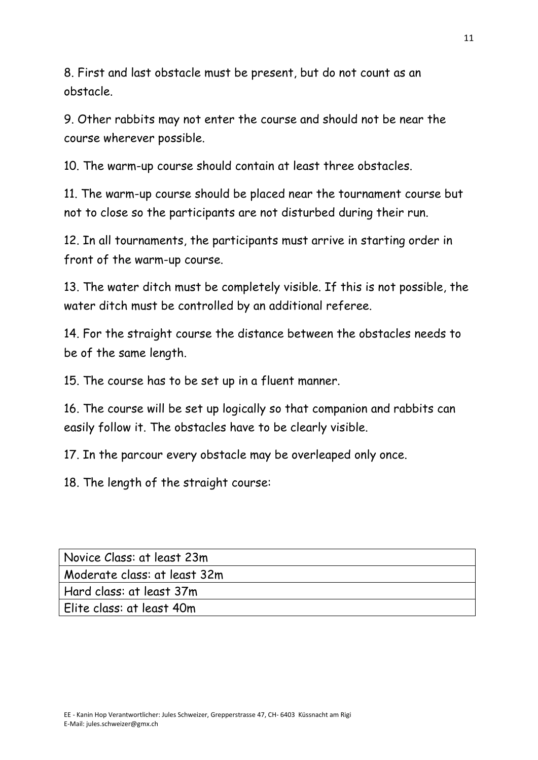8. First and last obstacle must be present, but do not count as an obstacle.

9. Other rabbits may not enter the course and should not be near the course wherever possible.

10. The warm-up course should contain at least three obstacles.

11. The warm-up course should be placed near the tournament course but not to close so the participants are not disturbed during their run.

12. In all tournaments, the participants must arrive in starting order in front of the warm-up course.

13. The water ditch must be completely visible. If this is not possible, the water ditch must be controlled by an additional referee.

14. For the straight course the distance between the obstacles needs to be of the same length.

15. The course has to be set up in a fluent manner.

16. The course will be set up logically so that companion and rabbits can easily follow it. The obstacles have to be clearly visible.

17. In the parcour every obstacle may be overleaped only once.

18. The length of the straight course:

| Novice Class: at least 23m   |
|------------------------------|
| Moderate class: at least 32m |
| Hard class: at least 37m     |
| Elite class: at least 40m    |
|                              |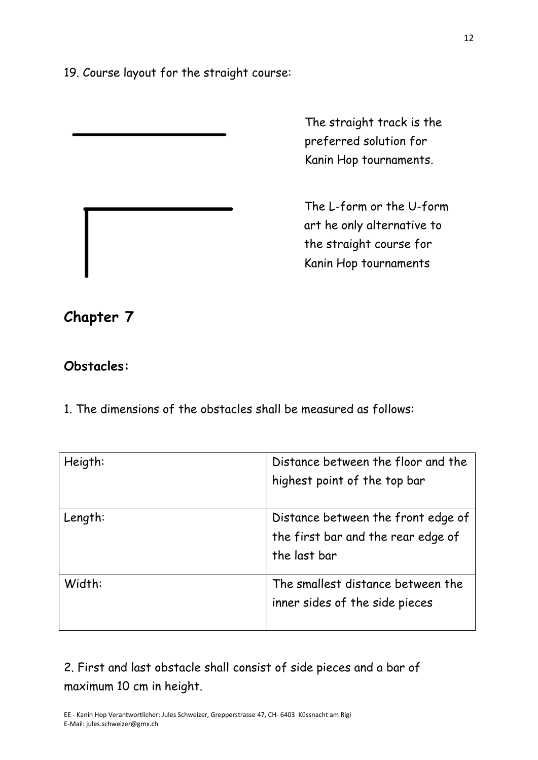19. Course layout for the straight course:

The straight track is the preferred solution for Kanin Hop tournaments.

The L-form or the U-form art he only alternative to the straight course for Kanin Hop tournaments

## **Chapter 7**

#### **Obstacles:**

1. The dimensions of the obstacles shall be measured as follows:

| Heigth: | Distance between the floor and the<br>highest point of the top bar                       |
|---------|------------------------------------------------------------------------------------------|
| Length: | Distance between the front edge of<br>the first bar and the rear edge of<br>the last bar |
| Width:  | The smallest distance between the<br>inner sides of the side pieces                      |

2. First and last obstacle shall consist of side pieces and a bar of maximum 10 cm in height.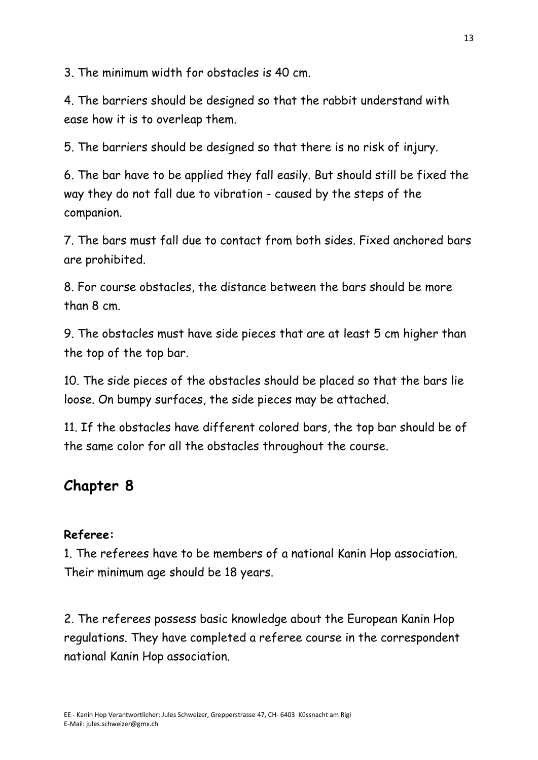3. The minimum width for obstacles is 40 cm.

4. The barriers should be designed so that the rabbit understand with ease how it is to overleap them.

5. The barriers should be designed so that there is no risk of injury.

6. The bar have to be applied they fall easily. But should still be fixed the way they do not fall due to vibration - caused by the steps of the companion.

7. The bars must fall due to contact from both sides. Fixed anchored bars are prohibited.

8. For course obstacles, the distance between the bars should be more than 8 cm.

9. The obstacles must have side pieces that are at least 5 cm higher than the top of the top bar.

10. The side pieces of the obstacles should be placed so that the bars lie loose. On bumpy surfaces, the side pieces may be attached.

11. If the obstacles have different colored bars, the top bar should be of the same color for all the obstacles throughout the course.

# **Chapter 8**

#### **Referee:**

1. The referees have to be members of a national Kanin Hop association. Their minimum age should be 18 years.

2. The referees possess basic knowledge about the European Kanin Hop regulations. They have completed a referee course in the correspondent national Kanin Hop association.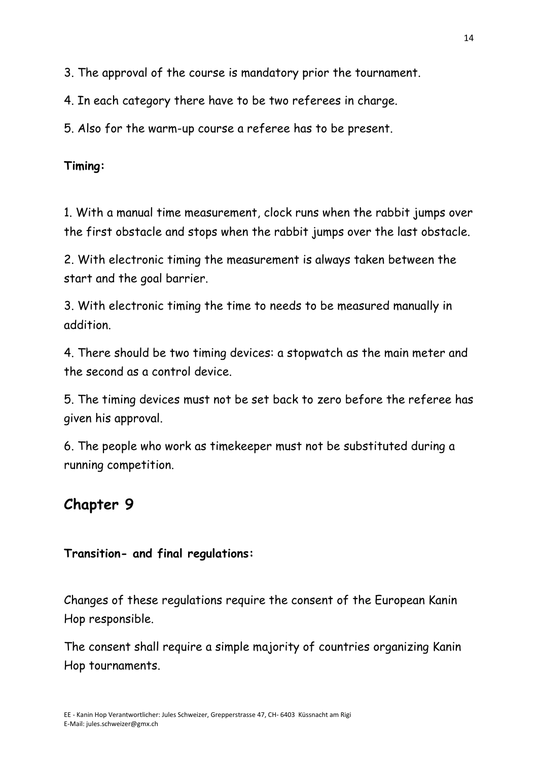3. The approval of the course is mandatory prior the tournament.

4. In each category there have to be two referees in charge.

5. Also for the warm-up course a referee has to be present.

**Timing:** 

1. With a manual time measurement, clock runs when the rabbit jumps over the first obstacle and stops when the rabbit jumps over the last obstacle.

2. With electronic timing the measurement is always taken between the start and the goal barrier.

3. With electronic timing the time to needs to be measured manually in addition.

4. There should be two timing devices: a stopwatch as the main meter and the second as a control device.

5. The timing devices must not be set back to zero before the referee has given his approval.

6. The people who work as timekeeper must not be substituted during a running competition.

# **Chapter 9**

## **Transition- and final regulations:**

Changes of these regulations require the consent of the European Kanin Hop responsible.

The consent shall require a simple majority of countries organizing Kanin Hop tournaments.